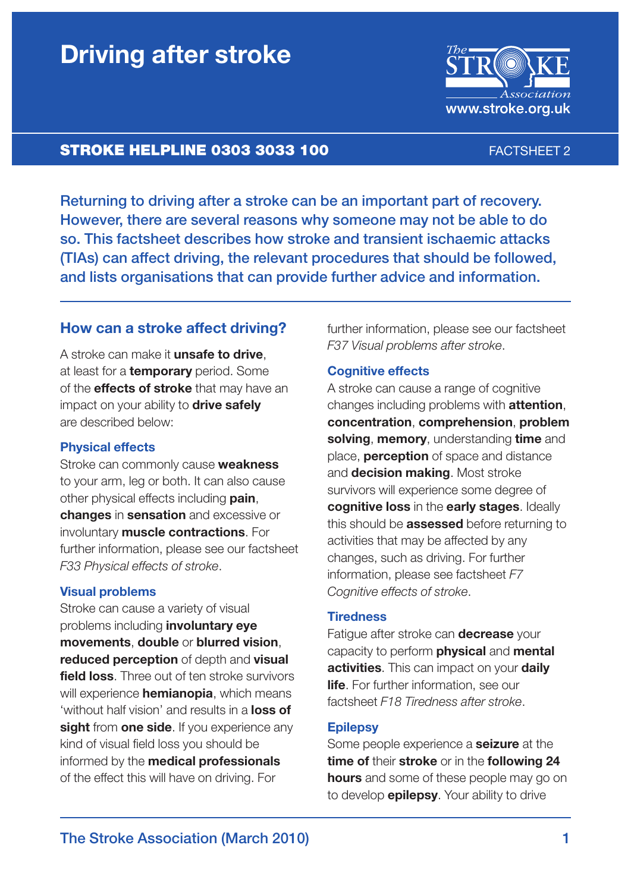# **Driving after stroke**



## **STROKE HELPLINE 0303 3033 100** FACTSHEET 2

Returning to driving after a stroke can be an important part of recovery. However, there are several reasons why someone may not be able to do so. This factsheet describes how stroke and transient ischaemic attacks (TIAs) can affect driving, the relevant procedures that should be followed, and lists organisations that can provide further advice and information.

## **How can a stroke affect driving?**

A stroke can make it **unsafe to drive**, at least for a **temporary** period. Some of the **effects of stroke** that may have an impact on your ability to **drive safely** are described below:

### **Physical effects**

Stroke can commonly cause **weakness** to your arm, leg or both. It can also cause other physical effects including **pain**, **changes** in **sensation** and excessive or involuntary **muscle contractions**. For further information, please see our factsheet *F33 Physical effects of stroke*.

### **Visual problems**

Stroke can cause a variety of visual problems including **involuntary eye movements**, **double** or **blurred vision**, **reduced perception** of depth and **visual field loss**. Three out of ten stroke survivors will experience **hemianopia**, which means 'without half vision' and results in a **loss of sight** from **one side**. If you experience any kind of visual field loss you should be informed by the **medical professionals** of the effect this will have on driving. For

further information, please see our factsheet *F37 Visual problems after stroke*.

#### **Cognitive effects**

A stroke can cause a range of cognitive changes including problems with **attention**, **concentration**, **comprehension**, **problem solving**, **memory**, understanding **time** and place, **perception** of space and distance and **decision making**. Most stroke survivors will experience some degree of **cognitive loss** in the **early stages**. Ideally this should be **assessed** before returning to activities that may be affected by any changes, such as driving. For further information, please see factsheet *F7 Cognitive effects of stroke*.

#### **Tiredness**

Fatigue after stroke can **decrease** your capacity to perform **physical** and **mental activities**. This can impact on your **daily life**. For further information, see our factsheet *F18 Tiredness after stroke*.

#### **Epilepsy**

Some people experience a **seizure** at the **time of** their **stroke** or in the **following 24 hours** and some of these people may go on to develop **epilepsy**. Your ability to drive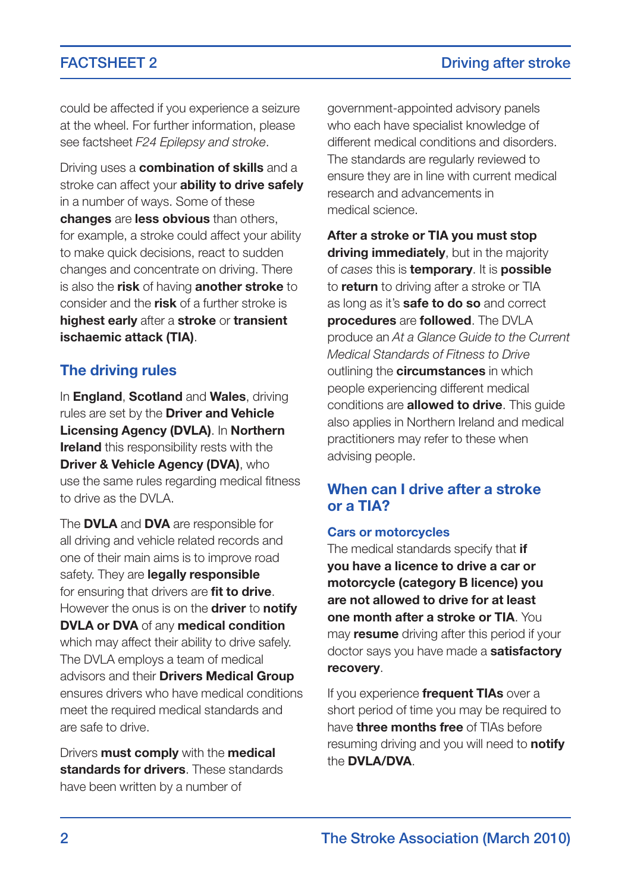could be affected if you experience a seizure at the wheel. For further information, please see factsheet *F24 Epilepsy and stroke*.

Driving uses a **combination of skills** and a stroke can affect your **ability to drive safely** in a number of ways. Some of these **changes** are **less obvious** than others, for example, a stroke could affect your ability to make quick decisions, react to sudden changes and concentrate on driving. There is also the **risk** of having **another stroke** to consider and the **risk** of a further stroke is **highest early** after a **stroke** or **transient ischaemic attack (TIA)**.

## **The driving rules**

In **England**, **Scotland** and **Wales**, driving rules are set by the **Driver and Vehicle Licensing Agency (DVLA)**. In **Northern Ireland** this responsibility rests with the **Driver & Vehicle Agency (DVA)**, who use the same rules regarding medical fitness to drive as the DVLA.

The **DVLA** and **DVA** are responsible for all driving and vehicle related records and one of their main aims is to improve road safety. They are **legally responsible** for ensuring that drivers are **fit to drive**. However the onus is on the **driver** to **notify DVLA or DVA** of any **medical condition** which may affect their ability to drive safely. The DVLA employs a team of medical advisors and their **Drivers Medical Group** ensures drivers who have medical conditions meet the required medical standards and are safe to drive.

Drivers **must comply** with the **medical standards for drivers**. These standards have been written by a number of

government-appointed advisory panels who each have specialist knowledge of different medical conditions and disorders. The standards are regularly reviewed to ensure they are in line with current medical research and advancements in medical science.

**After a stroke or TIA you must stop driving immediately**, but in the majority of *cases* this is **temporary**. It is **possible** to **return** to driving after a stroke or TIA as long as it's **safe to do so** and correct **procedures** are **followed**. The DVLA produce an *At a Glance Guide to the Current Medical Standards of Fitness to Drive* outlining the **circumstances** in which people experiencing different medical conditions are **allowed to drive**. This guide also applies in Northern Ireland and medical practitioners may refer to these when advising people.

## **When can I drive after a stroke or a TIA?**

#### **Cars or motorcycles**

The medical standards specify that **if you have a licence to drive a car or motorcycle (category B licence) you are not allowed to drive for at least one month after a stroke or TIA**. You may **resume** driving after this period if your doctor says you have made a **satisfactory recovery**.

If you experience **frequent TIAs** over a short period of time you may be required to have **three months free** of TIAs before resuming driving and you will need to **notify** the **DVLA/DVA**.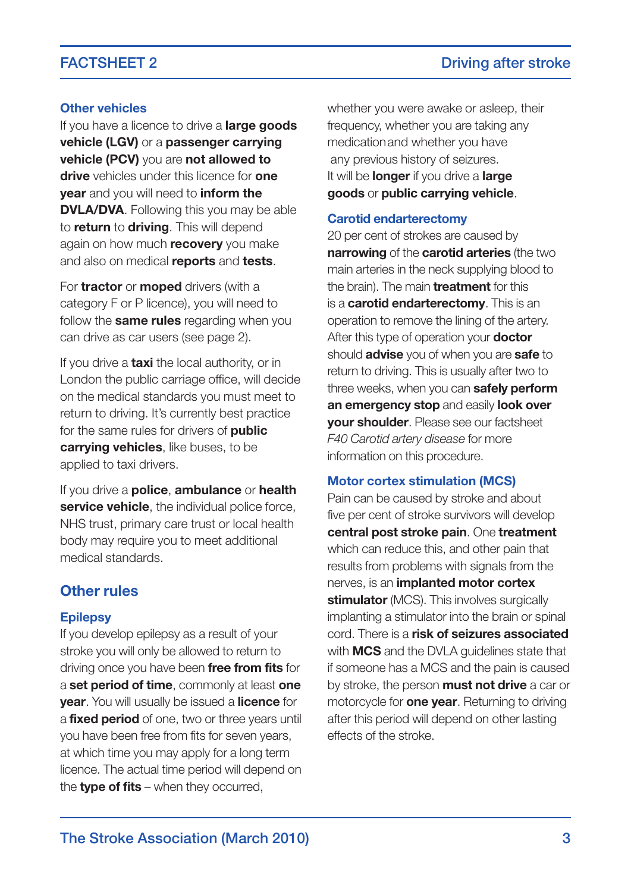### **Other vehicles**

If you have a licence to drive a **large goods vehicle (LGV)** or a **passenger carrying vehicle (PCV)** you are **not allowed to drive** vehicles under this licence for **one year** and you will need to **inform the DVLA/DVA**. Following this you may be able to **return** to **driving**. This will depend again on how much **recovery** you make and also on medical **reports** and **tests**.

For **tractor** or **moped** drivers (with a category F or P licence), you will need to follow the **same rules** regarding when you can drive as car users (see page 2).

If you drive a **taxi** the local authority, or in London the public carriage office, will decide on the medical standards you must meet to return to driving. It's currently best practice for the same rules for drivers of **public carrying vehicles**, like buses, to be applied to taxi drivers.

If you drive a **police**, **ambulance** or **health service vehicle**, the individual police force, NHS trust, primary care trust or local health body may require you to meet additional medical standards.

## **Other rules**

#### **Epilepsy**

If you develop epilepsy as a result of your stroke you will only be allowed to return to driving once you have been **free from fits** for a **set period of time**, commonly at least **one year**. You will usually be issued a **licence** for a **fixed period** of one, two or three years until you have been free from fits for seven years, at which time you may apply for a long term licence. The actual time period will depend on the **type of fits** when they occurred,

whether you were awake or asleep, their frequency, whether you are taking any medicationand whether you have any previous history of seizures. It will be **longer** if you drive a **large goods** or **public carrying vehicle**.

#### **Carotid endarterectomy**

20 per cent of strokes are caused by **narrowing** of the **carotid arteries** (the two main arteries in the neck supplying blood to the brain). The main **treatment** for this is a **carotid endarterectomy**. This is an operation to remove the lining of the artery. After this type of operation your **doctor** should **advise** you of when you are **safe** to return to driving. This is usually after two to three weeks, when you can **safely perform an emergency stop** and easily **look over your shoulder**. Please see our factsheet *F40 Carotid artery disease* for more information on this procedure.

#### **Motor cortex stimulation (MCS)**

Pain can be caused by stroke and about five per cent of stroke survivors will develop **central post stroke pain**. One **treatment** which can reduce this, and other pain that results from problems with signals from the nerves, is an **implanted motor cortex stimulator** (MCS). This involves surgically implanting a stimulator into the brain or spinal cord. There is a **risk of seizures associated** with **MCS** and the DVLA guidelines state that if someone has a MCS and the pain is caused by stroke, the person **must not drive** a car or motorcycle for **one year**. Returning to driving after this period will depend on other lasting effects of the stroke.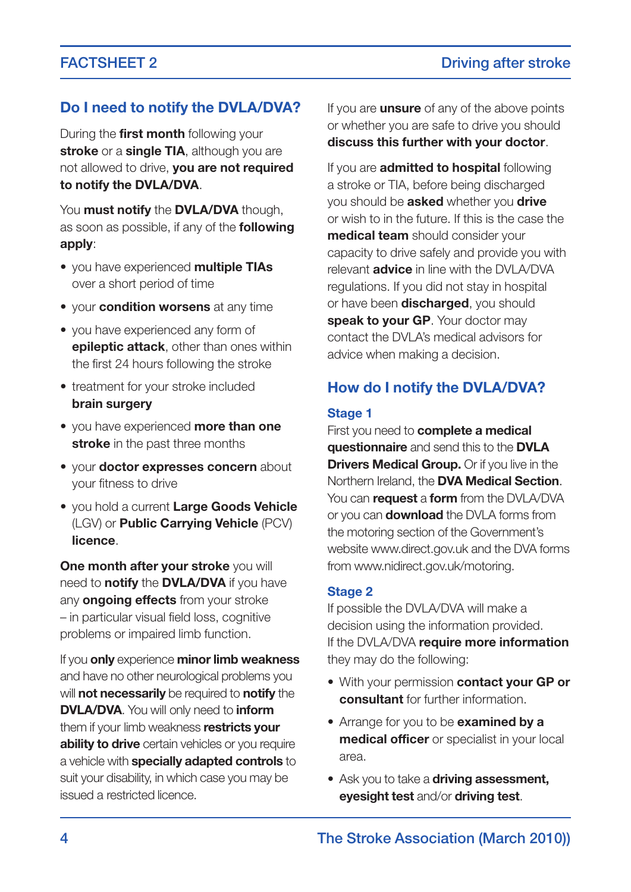## **Do I need to notify the DVLA/DVA?**

During the **first month** following your **stroke** or a **single TIA**, although you are not allowed to drive, **you are not required to notify the DVLA/DVA**.

You **must notify** the **DVLA/DVA** though, as soon as possible, if any of the **following apply**:

- you have experienced **multiple TIAs** over a short period of time
- your **condition worsens** at any time
- you have experienced any form of **epileptic attack**, other than ones within the first 24 hours following the stroke
- treatment for your stroke included **brain surgery**
- you have experienced **more than one stroke** in the past three months
- your **doctor expresses concern** about your fitness to drive
- you hold a current **Large Goods Vehicle** (LGV) or **Public Carrying Vehicle** (PCV) **licence**.

**One month after your stroke** you will need to **notify** the **DVLA/DVA** if you have any **ongoing effects** from your stroke - in particular visual field loss, cognitive problems or impaired limb function.

If you **only** experience **minor limb weakness** and have no other neurological problems you will **not necessarily** be required to **notify** the **DVLA/DVA**. You will only need to **inform** them if your limb weakness **restricts your ability to drive** certain vehicles or you require a vehicle with **specially adapted controls** to suit your disability, in which case you may be issued a restricted licence.

If you are **unsure** of any of the above points or whether you are safe to drive you should **discuss this further with your doctor**.

If you are **admitted to hospital** following a stroke or TIA, before being discharged you should be **asked** whether you **drive** or wish to in the future. If this is the case the **medical team** should consider your capacity to drive safely and provide you with relevant **advice** in line with the DVLA/DVA regulations. If you did not stay in hospital or have been **discharged**, you should **speak to your GP**. Your doctor may contact the DVLA's medical advisors for advice when making a decision.

## **How do I notify the DVLA/DVA?**

### **Stage 1**

First you need to **complete a medical questionnaire** and send this to the **DVLA Drivers Medical Group.** Or if you live in the Northern Ireland, the **DVA Medical Section**. You can **request** a **form** from the DVLA/DVA or you can **download** the DVLA forms from the motoring section of the Government's website www.direct.gov.uk and the DVA forms from www.nidirect.gov.uk/motoring.

### **Stage 2**

If possible the DVLA/DVA will make a decision using the information provided. If the DVLA/DVA **require more information** they may do the following:

- With your permission **contact your GP or consultant** for further information.
- Arrange for you to be **examined by a medical officer** or specialist in your local area.
- Ask you to take a **driving assessment, eyesight test** and/or **driving test**.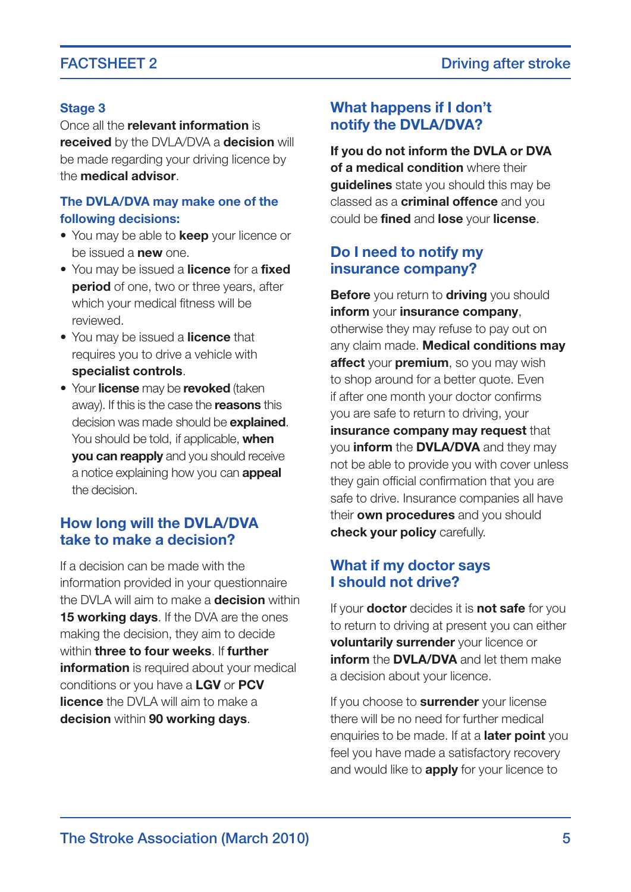#### **Stage 3**

Once all the **relevant information** is

**received** by the DVLA/DVA a **decision** will be made regarding your driving licence by the **medical advisor**.

## **The DVLA/DVA may make one of the following decisions:**

- You may be able to **keep** your licence or be issued a **new** one.
- You may be issued a **licence** for a **fixed period** of one, two or three years, after which your medical fitness will be reviewed.
- You may be issued a **licence** that requires you to drive a vehicle with **specialist controls**.
- Your **license** may be **revoked** (taken away). If this is the case the **reasons** this decision was made should be **explained**. You should be told, if applicable, **when you can reapply** and you should receive a notice explaining how you can **appeal** the decision.

## **How long will the DVLA/DVA take to make a decision?**

If a decision can be made with the information provided in your questionnaire the DVLA will aim to make a **decision** within **15 working days**. If the DVA are the ones making the decision, they aim to decide within **three to four weeks**. If **further information** is required about your medical conditions or you have a **LGV** or **PCV licence** the DVLA will aim to make a **decision** within **90 working days**.

## **What happens if I don't notify the DVLA/DVA?**

**If you do not inform the DVLA or DVA of a medical condition** where their **guidelines** state you should this may be classed as a **criminal offence** and you could be **fined** and **lose** your **license**.

## **Do I need to notify my insurance company?**

**Before** you return to **driving** you should **inform** your **insurance company**, otherwise they may refuse to pay out on any claim made. **Medical conditions may affect** your **premium**, so you may wish to shop around for a better quote. Even if after one month your doctor confirms you are safe to return to driving, your **insurance company may request** that you **inform** the **DVLA/DVA** and they may not be able to provide you with cover unless they gain official confirmation that you are safe to drive. Insurance companies all have their **own procedures** and you should **check your policy** carefully.

## **What if my doctor says I should not drive?**

If your **doctor** decides it is **not safe** for you to return to driving at present you can either **voluntarily surrender** your licence or **inform** the **DVLA/DVA** and let them make a decision about your licence.

If you choose to **surrender** your license there will be no need for further medical enquiries to be made. If at a **later point** you feel you have made a satisfactory recovery and would like to **apply** for your licence to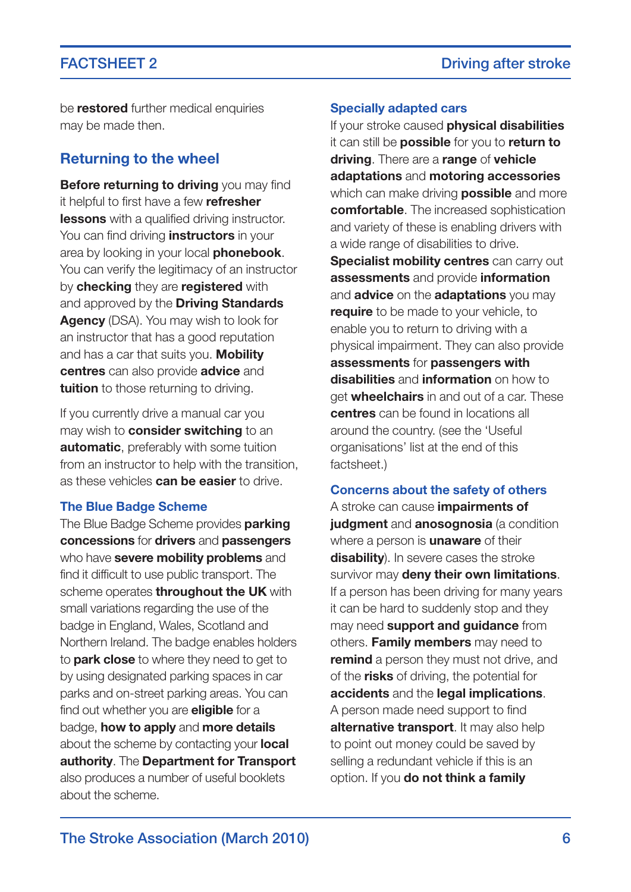be **restored** further medical enquiries may be made then.

## **Returning to the wheel**

**Before returning to driving** you may find it helpful to first have a few **refresher lessons** with a qualified driving instructor. You can find driving **instructors** in your area by looking in your local **phonebook**. You can verify the legitimacy of an instructor by **checking** they are **registered** with and approved by the **Driving Standards Agency** (DSA). You may wish to look for an instructor that has a good reputation and has a car that suits you. **Mobility centres** can also provide **advice** and **tuition** to those returning to driving.

If you currently drive a manual car you may wish to **consider switching** to an **automatic**, preferably with some tuition from an instructor to help with the transition, as these vehicles **can be easier** to drive.

#### **The Blue Badge Scheme**

The Blue Badge Scheme provides **parking concessions** for **drivers** and **passengers** who have **severe mobility problems** and find it difficult to use public transport. The scheme operates **throughout the UK** with small variations regarding the use of the badge in England, Wales, Scotland and Northern Ireland. The badge enables holders to **park close** to where they need to get to by using designated parking spaces in car parks and on-street parking areas. You can find out whether you are **eligible** for a badge, **how to apply** and **more details** about the scheme by contacting your **local authority**. The **Department for Transport** also produces a number of useful booklets about the scheme.

#### **Specially adapted cars**

If your stroke caused **physical disabilities** it can still be **possible** for you to **return to driving**. There are a **range** of **vehicle adaptations** and **motoring accessories** which can make driving **possible** and more **comfortable**. The increased sophistication and variety of these is enabling drivers with a wide range of disabilities to drive. **Specialist mobility centres** can carry out **assessments** and provide **information** and **advice** on the **adaptations** you may **require** to be made to your vehicle, to enable you to return to driving with a physical impairment. They can also provide **assessments** for **passengers with disabilities** and **information** on how to get **wheelchairs** in and out of a car. These **centres** can be found in locations all around the country. (see the 'Useful organisations' list at the end of this factsheet.)

#### **Concerns about the safety of others**

A stroke can cause **impairments of judgment** and **anosognosia** (a condition where a person is **unaware** of their **disability**). In severe cases the stroke survivor may **deny their own limitations**. If a person has been driving for many years it can be hard to suddenly stop and they may need **support and guidance** from others. **Family members** may need to **remind** a person they must not drive, and of the **risks** of driving, the potential for **accidents** and the **legal implications**. A person made need support to find **alternative transport**. It may also help to point out money could be saved by selling a redundant vehicle if this is an option. If you **do not think a family**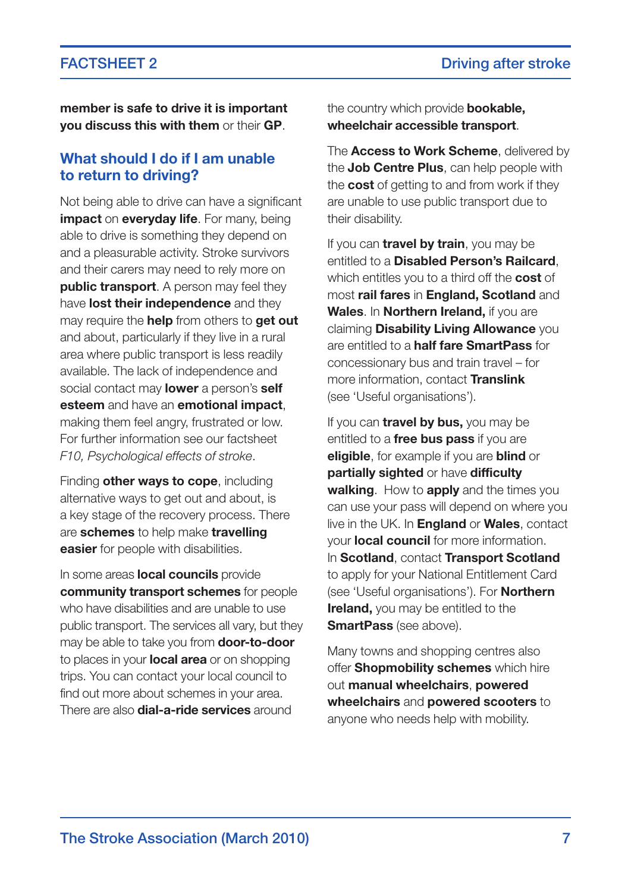**member is safe to drive it is important you discuss this with them** or their **GP**.

## **What should I do if I am unable to return to driving?**

Not being able to drive can have a significant **impact** on **everyday life**. For many, being able to drive is something they depend on and a pleasurable activity. Stroke survivors and their carers may need to rely more on **public transport**. A person may feel they have **lost their independence** and they may require the **help** from others to **get out** and about, particularly if they live in a rural area where public transport is less readily available. The lack of independence and social contact may **lower** a person's **self esteem** and have an **emotional impact**, making them feel angry, frustrated or low. For further information see our factsheet *F10, Psychological effects of stroke*.

Finding **other ways to cope**, including alternative ways to get out and about, is a key stage of the recovery process. There are **schemes** to help make **travelling easier** for people with disabilities.

In some areas **local councils** provide **community transport schemes** for people who have disabilities and are unable to use public transport. The services all vary, but they may be able to take you from **door-to-door** to places in your **local area** or on shopping trips. You can contact your local council to find out more about schemes in your area. There are also **dial-a-ride services** around

the country which provide **bookable, wheelchair accessible transport**.

The **Access to Work Scheme**, delivered by the **Job Centre Plus**, can help people with the **cost** of getting to and from work if they are unable to use public transport due to their disability.

If you can **travel by train**, you may be entitled to a **Disabled Person's Railcard**, which entitles you to a third off the **cost** of most **rail fares** in **England, Scotland** and **Wales**. In **Northern Ireland,** if you are claiming **Disability Living Allowance** you are entitled to a **half fare SmartPass** for concessionary bus and train travel – for more information, contact **Translink** (see Useful organisations).

If you can **travel by bus,** you may be entitled to a **free bus pass** if you are **eligible**, for example if you are **blind** or **partially sighted** or have **difficulty walking**. How to **apply** and the times you can use your pass will depend on where you live in the UK. In **England** or **Wales**, contact your **local council** for more information. In **Scotland**, contact **Transport Scotland** to apply for your National Entitlement Card (see Useful organisations). For **Northern Ireland,** you may be entitled to the **SmartPass** (see above).

Many towns and shopping centres also offer **Shopmobility schemes** which hire out **manual wheelchairs**, **powered wheelchairs** and **powered scooters** to anyone who needs help with mobility.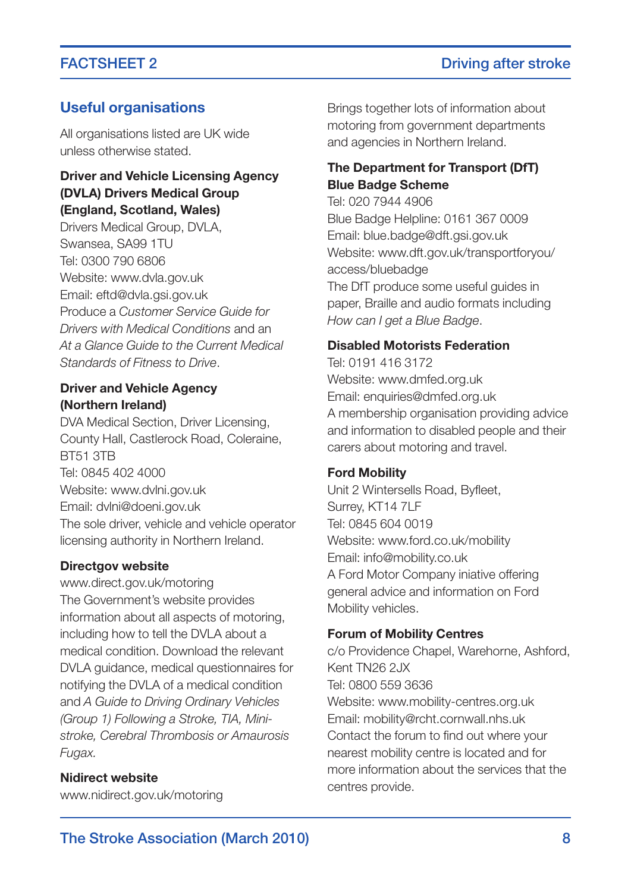### **Useful organisations**

All organisations listed are UK wide unless otherwise stated.

### **Driver and Vehicle Licensing Agency (DVLA) Drivers Medical Group (England, Scotland, Wales)**

Drivers Medical Group, DVLA, Swansea, SA99 1TU Tel: 0300 790 6806 Website: www.dvla.gov.uk Email: eftd@dvla.gsi.gov.uk Produce a *Customer Service Guide for Drivers with Medical Conditions* and an *At a Glance Guide to the Current Medical Standards of Fitness to Drive*.

## **Driver and Vehicle Agency (Northern Ireland)**

DVA Medical Section, Driver Licensing, County Hall, Castlerock Road, Coleraine, BT51 3TB Tel: 0845 402 4000 Website: www.dvlni.gov.uk Email: dvlni@doeni.gov.uk The sole driver, vehicle and vehicle operator licensing authority in Northern Ireland.

#### **Directgov website**

www.direct.gov.uk/motoring The Government's website provides information about all aspects of motoring, including how to tell the DVLA about a medical condition. Download the relevant DVLA guidance, medical questionnaires for notifying the DVLA of a medical condition and *A Guide to Driving Ordinary Vehicles (Group 1) Following a Stroke, TIA, Ministroke, Cerebral Thrombosis or Amaurosis Fugax.*

#### **Nidirect website**

www.nidirect.gov.uk/motoring

Brings together lots of information about motoring from government departments and agencies in Northern Ireland.

## **The Department for Transport (DfT) Blue Badge Scheme**

Tel: 020 7944 4906 Blue Badge Helpline: 0161 367 0009 Email: blue.badge@dft.gsi.gov.uk Website: www.dft.gov.uk/transportforyou/ access/bluebadge The DfT produce some useful guides in paper, Braille and audio formats including *How can I get a Blue Badge*.

#### **Disabled Motorists Federation**

Tel: 0191 416 3172 Website: www.dmfed.org.uk Email: enquiries@dmfed.org.uk A membership organisation providing advice and information to disabled people and their carers about motoring and travel.

#### **Ford Mobility**

Unit 2 Wintersells Road, Byfleet, Surrey, KT14 7LF Tel: 0845 604 0019 Website: www.ford.co.uk/mobility Email: info@mobility.co.uk A Ford Motor Company iniative offering general advice and information on Ford Mobility vehicles.

#### **Forum of Mobility Centres**

c/o Providence Chapel, Warehorne, Ashford, Kent TN26 2.IX Tel: 0800 559 3636 Website: www.mobility-centres.org.uk Email: mobility@rcht.cornwall.nhs.uk Contact the forum to find out where your nearest mobility centre is located and for more information about the services that the centres provide.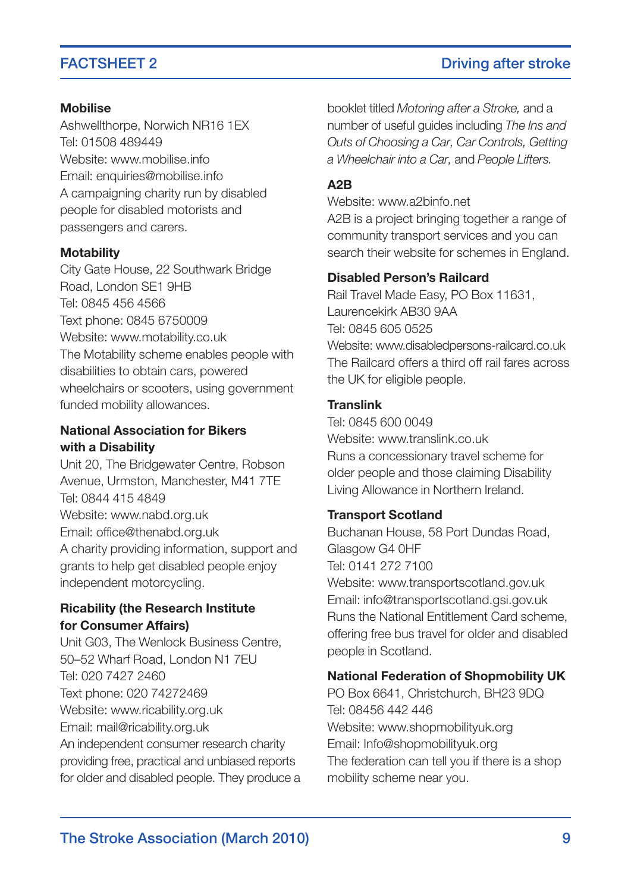### **Mobilise**

Ashwellthorpe, Norwich NR16 1EX Tel: 01508 489449 Website: www.mobilise.info Email: enquiries@mobilise.info A campaigning charity run by disabled people for disabled motorists and passengers and carers.

#### **Motability**

City Gate House, 22 Southwark Bridge Road, London SE1 9HB Tel: 0845 456 4566 Text phone: 0845 6750009 Website: www.motability.co.uk The Motability scheme enables people with disabilities to obtain cars, powered wheelchairs or scooters, using government funded mobility allowances.

### **National Association for Bikers with a Disability**

Unit 20, The Bridgewater Centre, Robson Avenue, Urmston, Manchester, M41 7TE Tel: 0844 415 4849 Website: www.nabd.org.uk Email: office@thenabd.org.uk A charity providing information, support and grants to help get disabled people enjoy independent motorcycling.

## **Ricability (the Research Institute for Consumer Affairs)**

Unit G03, The Wenlock Business Centre, 5052 Wharf Road, London N1 7EU Tel: 020 7427 2460 Text phone: 020 74272469 Website: www.ricability.org.uk Email: mail@ricability.org.uk An independent consumer research charity providing free, practical and unbiased reports for older and disabled people. They produce a

booklet titled *Motoring after a Stroke,* and a number of useful guides including *The Ins and Outs of Choosing a Car, Car Controls, Getting a Wheelchair into a Car,* and *People Lifters.*

### **A2B**

Website: www.a2binfo.net

A2B is a project bringing together a range of community transport services and you can search their website for schemes in England.

#### **Disabled Person's Railcard**

Rail Travel Made Easy, PO Box 11631, Laurencekirk AB30 9AA Tel: 0845 605 0525 Website: www.disabledpersons-railcard.co.uk The Railcard offers a third off rail fares across the UK for eligible people.

#### **Translink**

Tel: 0845 600 0049 Website: www.translink.co.uk Runs a concessionary travel scheme for older people and those claiming Disability Living Allowance in Northern Ireland.

#### **Transport Scotland**

Buchanan House, 58 Port Dundas Road, Glasgow G4 0HF Tel: 0141 272 7100 Website: www.transportscotland.gov.uk

Email: info@transportscotland.gsi.gov.uk Runs the National Entitlement Card scheme, offering free bus travel for older and disabled people in Scotland.

#### **National Federation of Shopmobility UK**

PO Box 6641, Christchurch, BH23 9DQ Tel: 08456 442 446 Website: www.shopmobilityuk.org Email: Info@shopmobilityuk.org The federation can tell you if there is a shop mobility scheme near you.

## FACTSHEET 2 Driving after stroke